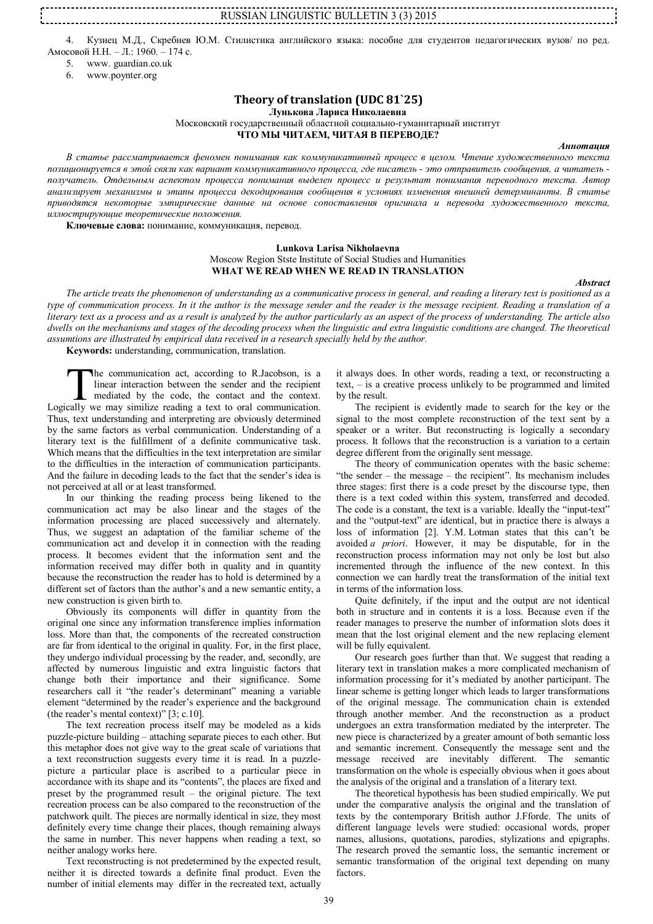| LINGUISTIC BULLETIN 3 (3) 2015 |
|--------------------------------|
|                                |

4. Кузнец М.Д., Скребнев Ю.М. Стилистика английского языка: пособие для студентов педагогических вузов/ по ред. Амосовой Н.Н. – Л.: 1960. – 174 с.

- 5. www. guardian.co.uk
- 6. www.poynter.org

Ĺ

# **Theory of translation (UDC 81`25)**

**Лунькова Лариса Николаевна** Московский государственный областной социально-гуманитарный институт **ЧТО МЫ ЧИТАЕМ, ЧИТАЯ В ПЕРЕВОДЕ?**

#### *Аннотация*

*В статье рассматривается феномен понимания как коммуникативный процесс в целом. Чтение художественного текста позиционируется в этой связи как вариант коммуникативного процесса, где писатель - это отправитель сообщения, а читатель получатель. Отдельным аспектом процесса понимания выделен процесс и результат понимания переводного текста. Автор анализирует механизмы и этапы процесса декодирования сообщения в условиях изменения внешней детерминанты. В статье приводятся некоторые эмпирические данные на основе сопоставления оригинала и перевода художественного текста, иллюстрирующие теоретические положения.*

**Ключевые слова:** понимание, коммуникация, перевод.

# **Lunkova Larisa Nikholaevna** Moscow Region Stste Institute of Social Studies and Humanities **WHAT WE READ WHEN WE READ IN TRANSLATION**

*Abstract*

*The article treats the phenomenon of understanding as a communicative process in general, and reading a literary text is positioned as a type of communication process. In it the author is the message sender and the reader is the message recipient. Reading a translation of a literary text as a process and as a result is analyzed by the author particularly as an aspect of the process of understanding. The article also dwells on the mechanisms and stages of the decoding process when the linguistic and extra linguistic conditions are changed. The theoretical assumtions are illustrated by empirical data received in a research specially held by the author.*

**Keywords:** understanding, communication, translation.

he communication act, according to R.Jacobson, is a linear interaction between the sender and the recipient mediated by the code, the contact and the context. The communication act, according to R.Jacobson, is a linear interaction between the sender and the recipient mediated by the code, the contact and the context. Logically we may similize reading a text to oral communication Thus, text understanding and interpreting are obviously determined by the same factors as verbal communication. Understanding of a literary text is the fulfillment of a definite communicative task. Which means that the difficulties in the text interpretation are similar to the difficulties in the interaction of communication participants. And the failure in decoding leads to the fact that the sender's idea is not perceived at all or at least transformed.

In our thinking the reading process being likened to the communication act may be also linear and the stages of the information processing are placed successively and alternately. Thus, we suggest an adaptation of the familiar scheme of the communication act and develop it in connection with the reading process. It becomes evident that the information sent and the information received may differ both in quality and in quantity because the reconstruction the reader has to hold is determined by a different set of factors than the author's and a new semantic entity, a new construction is given birth to.

Obviously its components will differ in quantity from the original one since any information transference implies information loss. More than that, the components of the recreated construction are far from identical to the original in quality. For, in the first place, they undergo individual processing by the reader, and, secondly, are affected by numerous linguistic and extra linguistic factors that change both their importance and their significance. Some researchers call it "the reader's determinant" meaning a variable element "determined by the reader's experience and the background (the reader's mental context)" [3; c.10].

The text recreation process itself may be modeled as a kids puzzle-picture building – attaching separate pieces to each other. But this metaphor does not give way to the great scale of variations that a text reconstruction suggests every time it is read. In a puzzlepicture a particular place is ascribed to a particular piece in accordance with its shape and its "contents", the places are fixed and preset by the programmed result – the original picture. The text recreation process can be also compared to the reconstruction of the patchwork quilt. The pieces are normally identical in size, they most definitely every time change their places, though remaining always the same in number. This never happens when reading a text, so neither analogy works here.

Text reconstructing is not predetermined by the expected result, neither it is directed towards a definite final product. Even the number of initial elements may differ in the recreated text, actually it always does. In other words, reading a text, or reconstructing a text, – is a creative process unlikely to be programmed and limited by the result.

The recipient is evidently made to search for the key or the signal to the most complete reconstruction of the text sent by a speaker or a writer. But reconstructing is logically a secondary process. It follows that the reconstruction is a variation to a certain degree different from the originally sent message.

The theory of communication operates with the basic scheme: "the sender – the message – the recipient". Its mechanism includes three stages: first there is a code preset by the discourse type, then there is a text coded within this system, transferred and decoded. The code is a constant, the text is a variable. Ideally the "input-text" and the "output-text" are identical, but in practice there is always a loss of information [2]. Y.M. Lotman states that this can't be avoided *a priori*. However, it may be disputable, for in the reconstruction process information may not only be lost but also incremented through the influence of the new context. In this connection we can hardly treat the transformation of the initial text in terms of the information loss.

Quite definitely, if the input and the output are not identical both in structure and in contents it is a loss. Because even if the reader manages to preserve the number of information slots does it mean that the lost original element and the new replacing element will be fully equivalent.

Our research goes further than that. We suggest that reading a literary text in translation makes a more complicated mechanism of information processing for it's mediated by another participant. The linear scheme is getting longer which leads to larger transformations of the original message. The communication chain is extended through another member. And the reconstruction as a product undergoes an extra transformation mediated by the interpreter. The new piece is characterized by a greater amount of both semantic loss and semantic increment. Consequently the message sent and the message received are inevitably different. The semantic transformation on the whole is especially obvious when it goes about the analysis of the original and a translation of a literary text.

The theoretical hypothesis has been studied empirically. We put under the comparative analysis the original and the translation of texts by the contemporary British author J.Fforde. The units of different language levels were studied: occasional words, proper names, allusions, quotations, parodies, stylizations and epigraphs. The research proved the semantic loss, the semantic increment or semantic transformation of the original text depending on many factors.